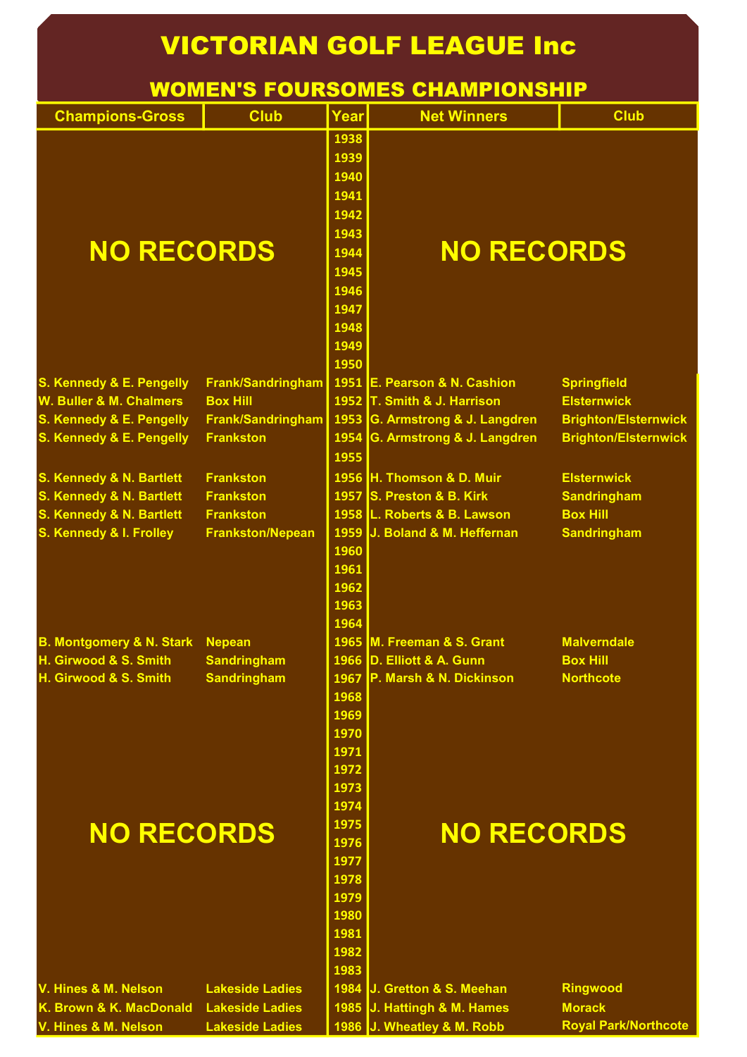## Champions-Gross Club Year Net Winners Club S. Kennedy & E. Pengelly Frank/Sandringham 1951 E. Pearson & N. Cashion Springfield W. Buller & M. Chalmers Box Hill <mark>I 1952 </mark>T. Smith & J. Harrison Elsternwick S. Kennedy & E. Pengelly Frank/Sandringham 1953 G. Armstrong & J. Langdren Brighton/Elsternwick S. Kennedy & E. Pengelly Frankston  $\parallel$  1954 G. Armstrong & J. Langdren Brighton/Elsternwick S. Kennedy & N. Bartlett Frankston 1956 H. Thomson & D. Muir Elsternwick S. Kennedy & N. Bartlett Frankston 1957 S. Preston & B. Kirk Sandringham S. Kennedy & N. Bartlett Frankston 1958 L. Roberts & B. Lawson Box Hill S. Kennedy & I. Frolley Frankston/Nepean 1959 J. Boland & M. Heffernan Sandringham B. Montgomery & N. Stark Nepean 1965 M. Freeman & S. Grant Malverndale H. Girwood & S. Smith Sandringham 1966 D. Elliott & A. Gunn Box Hill H. Girwood & S. Smith Sandringham 1967 P. Marsh & N. Dickinson Northcote NO RECORDS  $\begin{bmatrix} 1944 \end{bmatrix}$  NO RECORDS  $\bigcap_{n=1}^{1975}$  NO RECORDS VICTORIAN GOLF LEAGUE Inc WOMEN'S FOURSOMES CHAMPIONSHIP

 V. Hines & M. Nelson Lakeside Ladies 1984 J. Gretton & S. Meehan Ringwood K. Brown & K. MacDonald Lakeside Ladies | 1985 J. Hattingh & M. Hames Morack /. Hines & M. Nelson Lakeside Ladies <mark>I 1986 I</mark>J. Wheatley & M. Robb Royal Park/Northcote